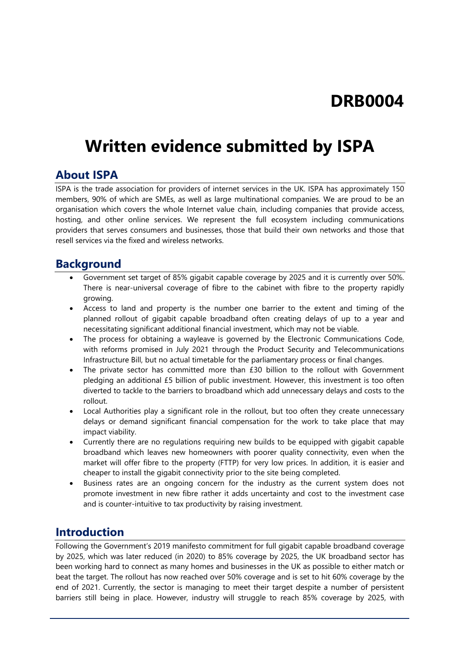# **DRB0004**

# **Written evidence submitted by ISPA**

#### **About ISPA**

ISPA is the trade association for providers of internet services in the UK. ISPA has approximately 150 members, 90% of which are SMEs, as well as large multinational companies. We are proud to be an organisation which covers the whole Internet value chain, including companies that provide access, hosting, and other online services. We represent the full ecosystem including communications providers that serves consumers and businesses, those that build their own networks and those that resell services via the fixed and wireless networks.

#### **Background**

- Government set target of 85% gigabit capable coverage by 2025 and it is currently over 50%. There is near-universal coverage of fibre to the cabinet with fibre to the property rapidly growing.
- Access to land and property is the number one barrier to the extent and timing of the planned rollout of gigabit capable broadband often creating delays of up to a year and necessitating significant additional financial investment, which may not be viable.
- The process for obtaining a wayleave is governed by the Electronic Communications Code, with reforms promised in July 2021 through the Product Security and Telecommunications Infrastructure Bill, but no actual timetable for the parliamentary process or final changes.
- The private sector has committed more than £30 billion to the rollout with Government pledging an additional £5 billion of public investment. However, this investment is too often diverted to tackle to the barriers to broadband which add unnecessary delays and costs to the rollout.
- Local Authorities play a significant role in the rollout, but too often they create unnecessary delays or demand significant financial compensation for the work to take place that may impact viability.
- Currently there are no regulations requiring new builds to be equipped with gigabit capable broadband which leaves new homeowners with poorer quality connectivity, even when the market will offer fibre to the property (FTTP) for very low prices. In addition, it is easier and cheaper to install the gigabit connectivity prior to the site being completed.
- Business rates are an ongoing concern for the industry as the current system does not promote investment in new fibre rather it adds uncertainty and cost to the investment case and is counter-intuitive to tax productivity by raising investment.

### **Introduction**

Following the Government's 2019 manifesto commitment for full gigabit capable broadband coverage by 2025, which was later reduced (in 2020) to 85% coverage by 2025, the UK broadband sector has been working hard to connect as many homes and businesses in the UK as possible to either match or beat the target. The rollout has now reached over 50% coverage and is set to hit 60% coverage by the end of 2021. Currently, the sector is managing to meet their target despite a number of persistent barriers still being in place. However, industry will struggle to reach 85% coverage by 2025, with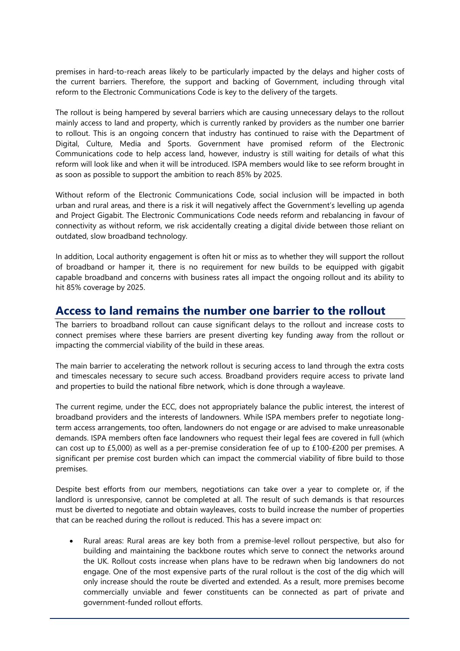premises in hard-to-reach areas likely to be particularly impacted by the delays and higher costs of the current barriers. Therefore, the support and backing of Government, including through vital reform to the Electronic Communications Code is key to the delivery of the targets.

The rollout is being hampered by several barriers which are causing unnecessary delays to the rollout mainly access to land and property, which is currently ranked by providers as the number one barrier to rollout. This is an ongoing concern that industry has continued to raise with the Department of Digital, Culture, Media and Sports. Government have promised reform of the Electronic Communications code to help access land, however, industry is still waiting for details of what this reform will look like and when it will be introduced. ISPA members would like to see reform brought in as soon as possible to support the ambition to reach 85% by 2025.

Without reform of the Electronic Communications Code, social inclusion will be impacted in both urban and rural areas, and there is a risk it will negatively affect the Government's levelling up agenda and Project Gigabit. The Electronic Communications Code needs reform and rebalancing in favour of connectivity as without reform, we risk accidentally creating a digital divide between those reliant on outdated, slow broadband technology.

In addition, Local authority engagement is often hit or miss as to whether they will support the rollout of broadband or hamper it, there is no requirement for new builds to be equipped with gigabit capable broadband and concerns with business rates all impact the ongoing rollout and its ability to hit 85% coverage by 2025.

#### **Access to land remains the number one barrier to the rollout**

The barriers to broadband rollout can cause significant delays to the rollout and increase costs to connect premises where these barriers are present diverting key funding away from the rollout or impacting the commercial viability of the build in these areas.

The main barrier to accelerating the network rollout is securing access to land through the extra costs and timescales necessary to secure such access. Broadband providers require access to private land and properties to build the national fibre network, which is done through a wayleave.

The current regime, under the ECC, does not appropriately balance the public interest, the interest of broadband providers and the interests of landowners. While ISPA members prefer to negotiate longterm access arrangements, too often, landowners do not engage or are advised to make unreasonable demands. ISPA members often face landowners who request their legal fees are covered in full (which can cost up to £5,000) as well as a per-premise consideration fee of up to £100-£200 per premises. A significant per premise cost burden which can impact the commercial viability of fibre build to those premises.

Despite best efforts from our members, negotiations can take over a year to complete or, if the landlord is unresponsive, cannot be completed at all. The result of such demands is that resources must be diverted to negotiate and obtain wayleaves, costs to build increase the number of properties that can be reached during the rollout is reduced. This has a severe impact on:

 Rural areas: Rural areas are key both from a premise-level rollout perspective, but also for building and maintaining the backbone routes which serve to connect the networks around the UK. Rollout costs increase when plans have to be redrawn when big landowners do not engage. One of the most expensive parts of the rural rollout is the cost of the dig which will only increase should the route be diverted and extended. As a result, more premises become commercially unviable and fewer constituents can be connected as part of private and government-funded rollout efforts.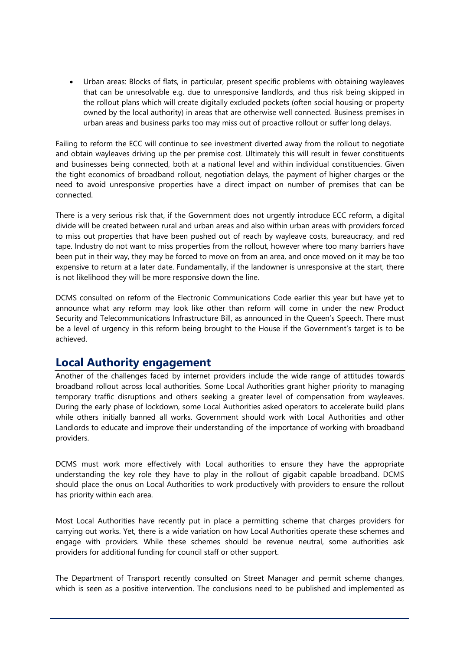Urban areas: Blocks of flats, in particular, present specific problems with obtaining wayleaves that can be unresolvable e.g. due to unresponsive landlords, and thus risk being skipped in the rollout plans which will create digitally excluded pockets (often social housing or property owned by the local authority) in areas that are otherwise well connected. Business premises in urban areas and business parks too may miss out of proactive rollout or suffer long delays.

Failing to reform the ECC will continue to see investment diverted away from the rollout to negotiate and obtain wayleaves driving up the per premise cost. Ultimately this will result in fewer constituents and businesses being connected, both at a national level and within individual constituencies. Given the tight economics of broadband rollout, negotiation delays, the payment of higher charges or the need to avoid unresponsive properties have a direct impact on number of premises that can be connected.

There is a very serious risk that, if the Government does not urgently introduce ECC reform, a digital divide will be created between rural and urban areas and also within urban areas with providers forced to miss out properties that have been pushed out of reach by wayleave costs, bureaucracy, and red tape. Industry do not want to miss properties from the rollout, however where too many barriers have been put in their way, they may be forced to move on from an area, and once moved on it may be too expensive to return at a later date. Fundamentally, if the landowner is unresponsive at the start, there is not likelihood they will be more responsive down the line.

DCMS consulted on reform of the Electronic Communications Code earlier this year but have yet to announce what any reform may look like other than reform will come in under the new Product Security and Telecommunications Infrastructure Bill, as announced in the Queen's Speech. There must be a level of urgency in this reform being brought to the House if the Government's target is to be achieved.

#### **Local Authority engagement**

Another of the challenges faced by internet providers include the wide range of attitudes towards broadband rollout across local authorities. Some Local Authorities grant higher priority to managing temporary traffic disruptions and others seeking a greater level of compensation from wayleaves. During the early phase of lockdown, some Local Authorities asked operators to accelerate build plans while others initially banned all works. Government should work with Local Authorities and other Landlords to educate and improve their understanding of the importance of working with broadband providers.

DCMS must work more effectively with Local authorities to ensure they have the appropriate understanding the key role they have to play in the rollout of gigabit capable broadband. DCMS should place the onus on Local Authorities to work productively with providers to ensure the rollout has priority within each area.

Most Local Authorities have recently put in place a permitting scheme that charges providers for carrying out works. Yet, there is a wide variation on how Local Authorities operate these schemes and engage with providers. While these schemes should be revenue neutral, some authorities ask providers for additional funding for council staff or other support.

The Department of Transport recently consulted on Street Manager and permit scheme changes, which is seen as a positive intervention. The conclusions need to be published and implemented as